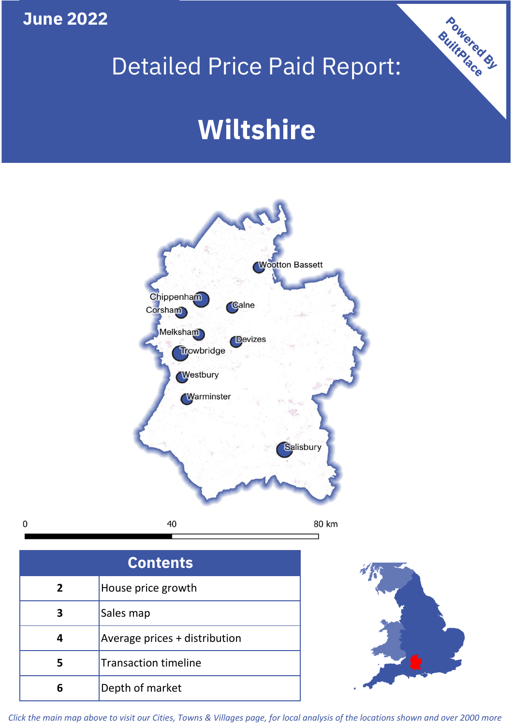## **June 2022**

 $\mathbf 0$ 

## Detailed Price Paid Report:

# **Wiltshire**



| <b>Contents</b> |                               |  |  |
|-----------------|-------------------------------|--|--|
| $\overline{2}$  | House price growth            |  |  |
| 3               | Sales map                     |  |  |
|                 | Average prices + distribution |  |  |
| 5               | <b>Transaction timeline</b>   |  |  |
|                 | Depth of market               |  |  |



Powered By

*Click the main map above to visit our Cities, Towns & Villages page, for local analysis of the locations shown and over 2000 more*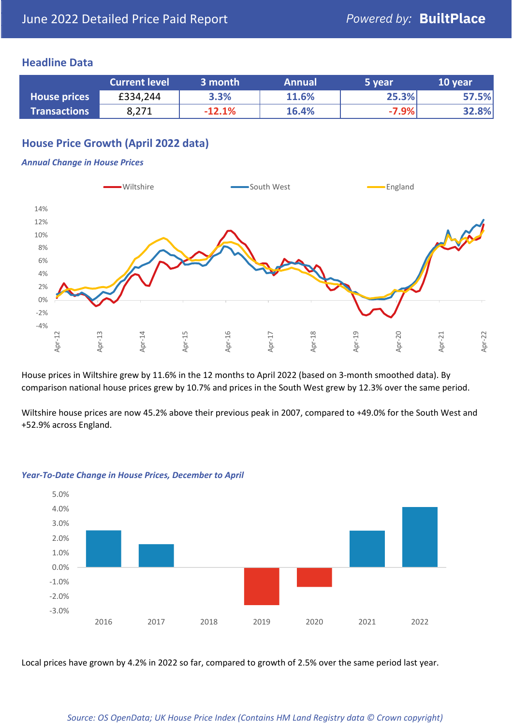### **Headline Data**

|                     | <b>Current level</b> | 3 month  | <b>Annual</b> | 5 year  | 10 year |
|---------------------|----------------------|----------|---------------|---------|---------|
| <b>House prices</b> | £334,244             | 3.3%     | 11.6%         | 25.3%   | 57.5%   |
| <b>Transactions</b> | 8,271                | $-12.1%$ | 16.4%         | $-7.9%$ | 32.8%   |

## **House Price Growth (April 2022 data)**

#### *Annual Change in House Prices*



House prices in Wiltshire grew by 11.6% in the 12 months to April 2022 (based on 3-month smoothed data). By comparison national house prices grew by 10.7% and prices in the South West grew by 12.3% over the same period.

Wiltshire house prices are now 45.2% above their previous peak in 2007, compared to +49.0% for the South West and +52.9% across England.



#### *Year-To-Date Change in House Prices, December to April*

Local prices have grown by 4.2% in 2022 so far, compared to growth of 2.5% over the same period last year.

#### *Source: OS OpenData; UK House Price Index (Contains HM Land Registry data © Crown copyright)*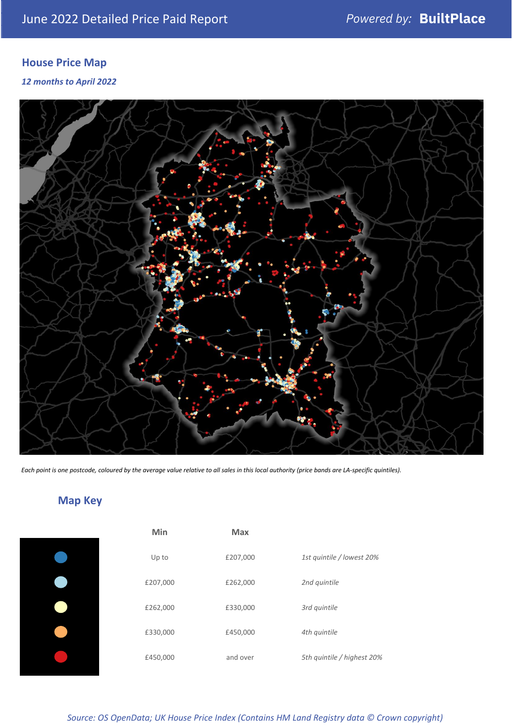## **House Price Map**

*12 months to April 2022*



*Each point is one postcode, coloured by the average value relative to all sales in this local authority (price bands are LA-specific quintiles).*

## **Map Key**

| Min      | Max      |                            |
|----------|----------|----------------------------|
| Up to    | £207,000 | 1st quintile / lowest 20%  |
| £207,000 | £262,000 | 2nd quintile               |
| £262,000 | £330,000 | 3rd quintile               |
| £330,000 | £450,000 | 4th quintile               |
| £450,000 | and over | 5th quintile / highest 20% |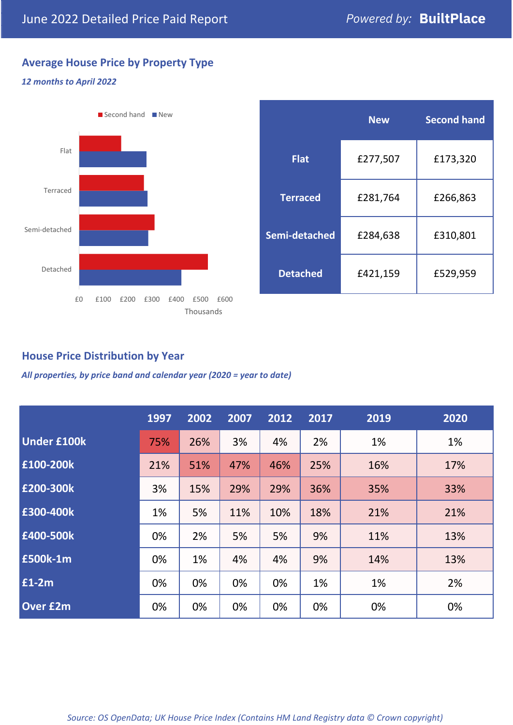## **Average House Price by Property Type**

#### *12 months to April 2022*



|                 | <b>New</b> | <b>Second hand</b> |  |  |
|-----------------|------------|--------------------|--|--|
| <b>Flat</b>     | £277,507   | £173,320           |  |  |
| <b>Terraced</b> | £281,764   | £266,863           |  |  |
| Semi-detached   | £284,638   | £310,801           |  |  |
| <b>Detached</b> | £421,159   | £529,959           |  |  |

## **House Price Distribution by Year**

*All properties, by price band and calendar year (2020 = year to date)*

|                    | 1997 | 2002 | 2007 | 2012 | 2017 | 2019 | 2020 |
|--------------------|------|------|------|------|------|------|------|
| <b>Under £100k</b> | 75%  | 26%  | 3%   | 4%   | 2%   | 1%   | 1%   |
| £100-200k          | 21%  | 51%  | 47%  | 46%  | 25%  | 16%  | 17%  |
| E200-300k          | 3%   | 15%  | 29%  | 29%  | 36%  | 35%  | 33%  |
| £300-400k          | 1%   | 5%   | 11%  | 10%  | 18%  | 21%  | 21%  |
| £400-500k          | 0%   | 2%   | 5%   | 5%   | 9%   | 11%  | 13%  |
| <b>£500k-1m</b>    | 0%   | 1%   | 4%   | 4%   | 9%   | 14%  | 13%  |
| £1-2m              | 0%   | 0%   | 0%   | 0%   | 1%   | 1%   | 2%   |
| <b>Over £2m</b>    | 0%   | 0%   | 0%   | 0%   | 0%   | 0%   | 0%   |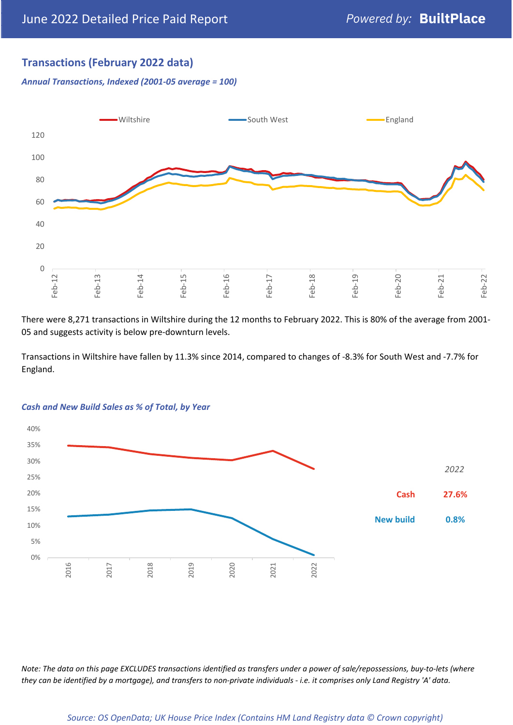## **Transactions (February 2022 data)**

*Annual Transactions, Indexed (2001-05 average = 100)*



There were 8,271 transactions in Wiltshire during the 12 months to February 2022. This is 80% of the average from 2001- 05 and suggests activity is below pre-downturn levels.

Transactions in Wiltshire have fallen by 11.3% since 2014, compared to changes of -8.3% for South West and -7.7% for England.



#### *Cash and New Build Sales as % of Total, by Year*

*Note: The data on this page EXCLUDES transactions identified as transfers under a power of sale/repossessions, buy-to-lets (where they can be identified by a mortgage), and transfers to non-private individuals - i.e. it comprises only Land Registry 'A' data.*